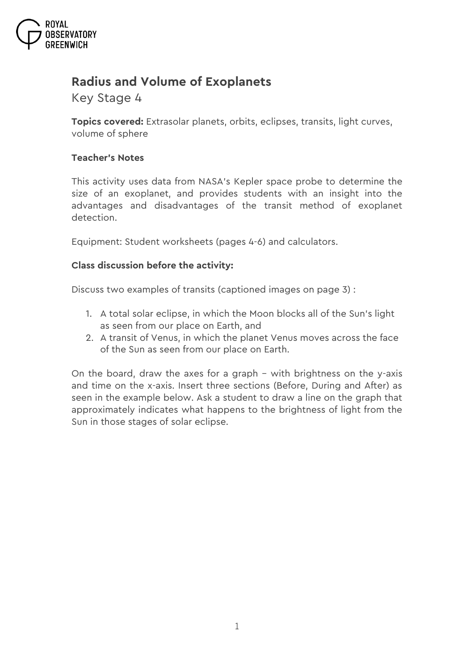

# **Radius and Volume of Exoplanets**

*Key Stage 4*

**Topics covered:** Extrasolar planets, orbits, eclipses, transits, light curves, volume of sphere

## **Teacher's Notes**

This activity uses data from NASA's *Kepler* space probe to determine the size of an exoplanet, and provides students with an insight into the advantages and disadvantages of the transit method of exoplanet detection.

Equipment: Student worksheets (pages 4-6) and calculators.

## **Class discussion before the activity:**

Discuss two examples of transits (captioned images on page 3) :

- 1. A total solar eclipse, in which the Moon blocks all of the Sun's light as seen from our place on Earth, and
- 2. A transit of Venus, in which the planet Venus moves across the face of the Sun as seen from our place on Earth.

On the board, draw the axes for a graph – with brightness on the y-axis and time on the x-axis. Insert three sections (Before, During and After) as seen in the example below. Ask a student to draw a line on the graph that approximately indicates what happens to the brightness of light from the Sun in those stages of solar eclipse.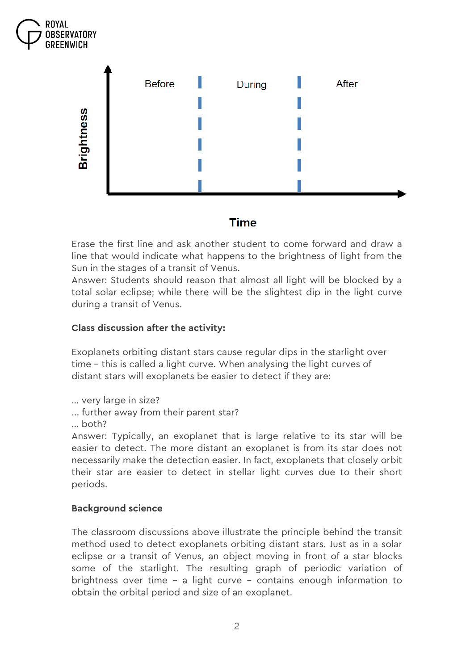



**Time** 

Erase the first line and ask another student to come forward and draw a line that would indicate what happens to the brightness of light from the Sun in the stages of a transit of Venus.

Answer: Students should reason that almost all light will be blocked by a total solar eclipse; while there will be the slightest dip in the light curve during a transit of Venus.

# **Class discussion after the activity:**

Exoplanets orbiting distant stars cause regular dips in the starlight over time – this is called a light curve. When analysing the light curves of distant stars will exoplanets be easier to detect if they are:

… very large in size?

- ... further away from their parent star?
- … both?

Answer: Typically, an exoplanet that is large relative to its star will be easier to detect. The more distant an exoplanet is from its star does not necessarily make the detection easier. In fact, exoplanets that closely orbit their star are easier to detect in stellar light curves due to their short periods.

## **Background science**

The classroom discussions above illustrate the principle behind the transit method used to detect exoplanets orbiting distant stars. Just as in a solar eclipse or a transit of Venus, an object moving in front of a star blocks some of the starlight. The resulting graph of periodic variation of brightness over time – a light curve – contains enough information to obtain the orbital period and size of an exoplanet.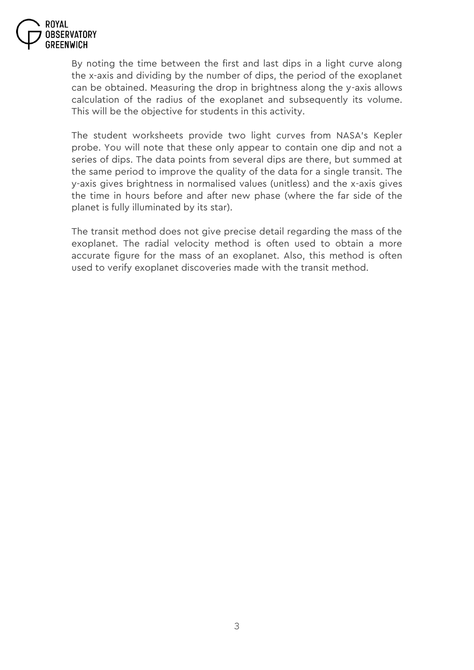

By noting the time between the first and last dips in a light curve along the x-axis and dividing by the number of dips, the period of the exoplanet can be obtained. Measuring the drop in brightness along the y-axis allows calculation of the radius of the exoplanet and subsequently its volume. This will be the objective for students in this activity.

The student worksheets provide two light curves from NASA's *Kepler*  probe. You will note that these only appear to contain one dip and not a series of dips. The data points from several dips are there, but summed at the same period to improve the quality of the data for a single transit. The y-axis gives brightness in normalised values (unitless) and the x-axis gives the time in hours before and after new phase (where the far side of the planet is fully illuminated by its star).

The transit method does not give precise detail regarding the mass of the exoplanet. The radial velocity method is often used to obtain a more accurate figure for the mass of an exoplanet. Also, this method is often used to verify exoplanet discoveries made with the transit method.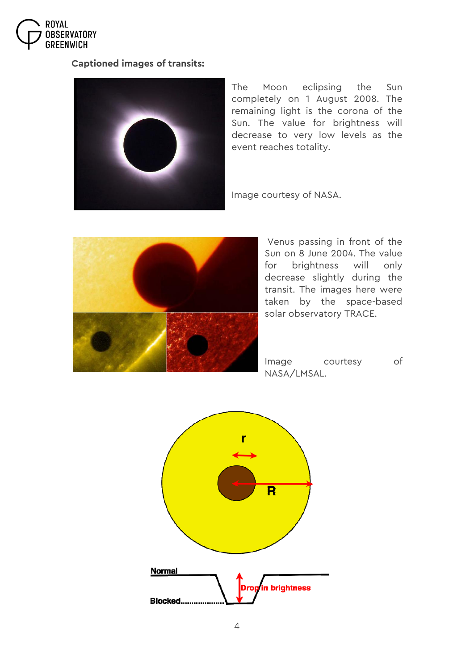

#### **Captioned images of transits:**



The Moon eclipsing the Sun completely on 1 August 2008. The remaining light is the corona of the Sun. The value for brightness will decrease to very low levels as the event reaches totality.

Image courtesy of NASA.



Venus passing in front of the Sun on 8 June 2004. The value for brightness will only decrease slightly during the transit. The images here were taken by the space-based solar observatory TRACE.

Image courtesy of NASA/LMSAL.

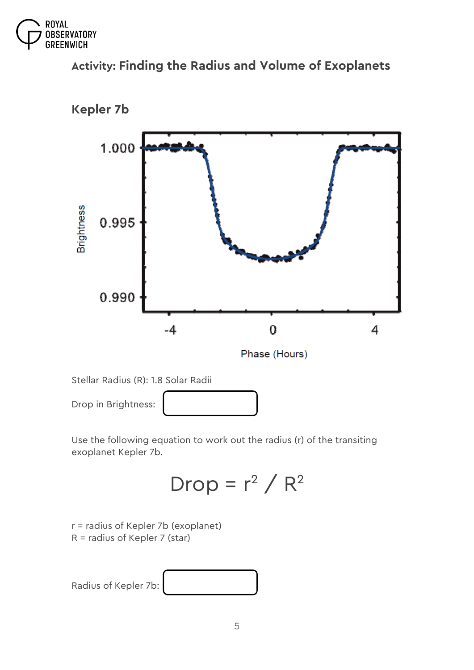

# **Activity: Finding the Radius and Volume of Exoplanets**



**Kepler 7b**

Use the following equation to work out the radius (r) of the transiting exoplanet Kepler 7b.

$$
Drop = r^2 / R^2
$$

```
r = radius of Kepler 7b (exoplanet) 
R = radius of Kepler 7 (star)
```
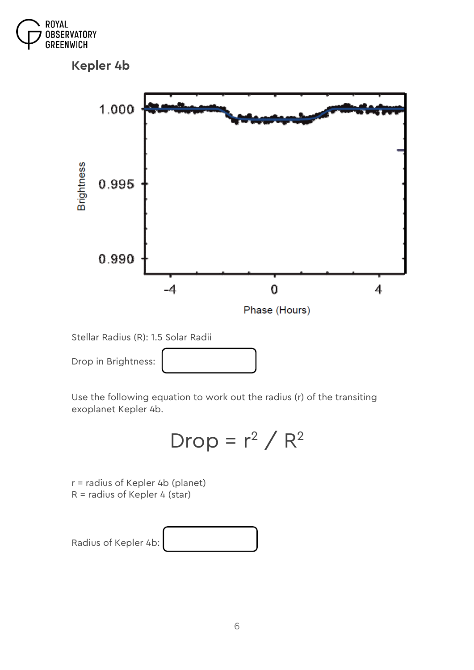

**Kepler 4b**



Stellar Radius (R): 1.5 Solar Radii



Use the following equation to work out the radius (r) of the transiting exoplanet Kepler 4b.

$$
Drop = r^2 / R^2
$$

*r = radius of Kepler 4b (planet) R = radius of Kepler 4 (star)*